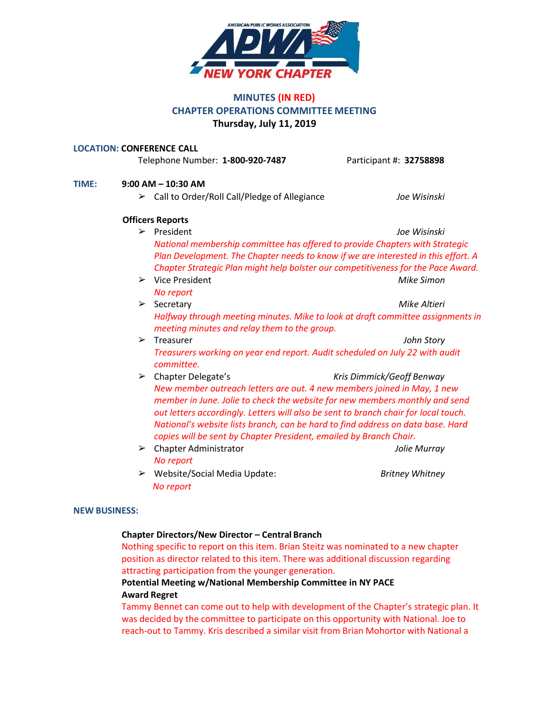

# **MINUTES (IN RED) CHAPTER OPERATIONS COMMITTEE MEETING Thursday, July 11, 2019**

#### **LOCATION: CONFERENCE CALL**

Telephone Number: **1-800-920-7487** Participant #: **32758898**

# **TIME: 9:00 AM – 10:30 AM** ➢ Call to Order/Roll Call/Pledge of Allegiance *Joe Wisinski* **Officers Reports** ➢ President *Joe Wisinski*

- *National membership committee has offered to provide Chapters with Strategic Plan Development. The Chapter needs to know if we are interested in this effort. A Chapter Strategic Plan might help bolster our competitiveness for the Pace Award.*
- ➢ Vice President *Mike Simon No report*
- ➢ Secretary *Mike Altieri Halfway through meeting minutes. Mike to look at draft committee assignments in meeting minutes and relay them to the group.*
- ➢ Treasurer *John Story Treasurers working on year end report. Audit scheduled on July 22 with audit committee.*
- ➢ Chapter Delegate's *Kris Dimmick/Geoff Benway New member outreach letters are out. 4 new members joined in May, 1 new member in June. Jolie to check the website for new members monthly and send out letters accordingly. Letters will also be sent to branch chair for local touch. National's website lists branch, can be hard to find address on data base. Hard copies will be sent by Chapter President, emailed by Branch Chair.*
- ➢ Chapter Administrator *Jolie Murray No report*
- ➢ Website/Social Media Update: *Britney Whitney No report*

### **NEW BUSINESS:**

### **Chapter Directors/New Director – Central Branch**

Nothing specific to report on this item. Brian Steitz was nominated to a new chapter position as director related to this item. There was additional discussion regarding attracting participation from the younger generation.

## **Potential Meeting w/National Membership Committee in NY PACE Award Regret**

Tammy Bennet can come out to help with development of the Chapter's strategic plan. It was decided by the committee to participate on this opportunity with National. Joe to reach-out to Tammy. Kris described a similar visit from Brian Mohortor with National a